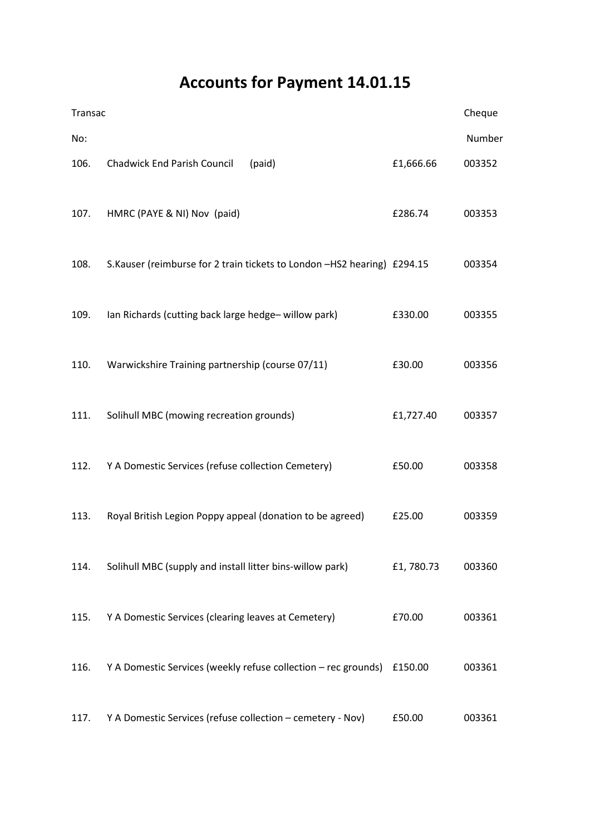# Accounts for Payment 14.01.15

| Transac |                                                                         |           |        |
|---------|-------------------------------------------------------------------------|-----------|--------|
| No:     |                                                                         |           | Number |
| 106.    | Chadwick End Parish Council<br>(paid)                                   | £1,666.66 | 003352 |
| 107.    | HMRC (PAYE & NI) Nov (paid)                                             | £286.74   | 003353 |
| 108.    | S.Kauser (reimburse for 2 train tickets to London -HS2 hearing) £294.15 |           | 003354 |
| 109.    | Ian Richards (cutting back large hedge-willow park)                     | £330.00   | 003355 |
| 110.    | Warwickshire Training partnership (course 07/11)                        | £30.00    | 003356 |
| 111.    | Solihull MBC (mowing recreation grounds)                                | £1,727.40 | 003357 |
| 112.    | Y A Domestic Services (refuse collection Cemetery)                      | £50.00    | 003358 |
| 113.    | Royal British Legion Poppy appeal (donation to be agreed)               | £25.00    | 003359 |
| 114.    | Solihull MBC (supply and install litter bins-willow park)               | £1,780.73 | 003360 |
| 115.    | Y A Domestic Services (clearing leaves at Cemetery)                     | £70.00    | 003361 |
| 116.    | Y A Domestic Services (weekly refuse collection - rec grounds) £150.00  |           | 003361 |
| 117.    | Y A Domestic Services (refuse collection - cemetery - Nov)              | £50.00    | 003361 |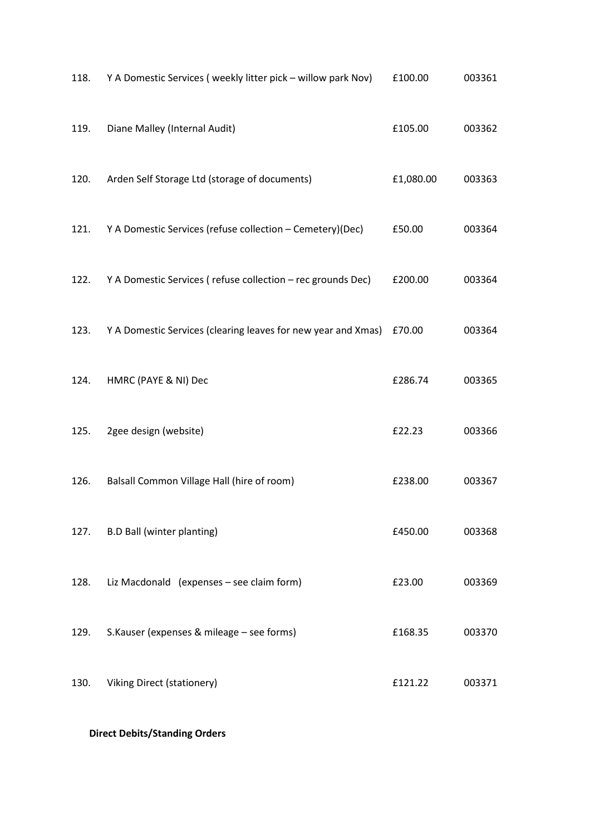| 118. | Y A Domestic Services (weekly litter pick - willow park Nov)         | £100.00   | 003361 |
|------|----------------------------------------------------------------------|-----------|--------|
| 119. | Diane Malley (Internal Audit)                                        | £105.00   | 003362 |
| 120. | Arden Self Storage Ltd (storage of documents)                        | £1,080.00 | 003363 |
| 121. | Y A Domestic Services (refuse collection - Cemetery)(Dec)            | £50.00    | 003364 |
| 122. | Y A Domestic Services (refuse collection - rec grounds Dec)          | £200.00   | 003364 |
| 123. | Y A Domestic Services (clearing leaves for new year and Xmas) £70.00 |           | 003364 |
| 124. | HMRC (PAYE & NI) Dec                                                 | £286.74   | 003365 |
| 125. | 2gee design (website)                                                | £22.23    | 003366 |
| 126. | Balsall Common Village Hall (hire of room)                           | £238.00   | 003367 |
| 127. | <b>B.D Ball (winter planting)</b>                                    | £450.00   | 003368 |
| 128. | Liz Macdonald (expenses - see claim form)                            | £23.00    | 003369 |
| 129. | S.Kauser (expenses & mileage - see forms)                            | £168.35   | 003370 |
| 130. | <b>Viking Direct (stationery)</b>                                    | £121.22   | 003371 |

## Direct Debits/Standing Orders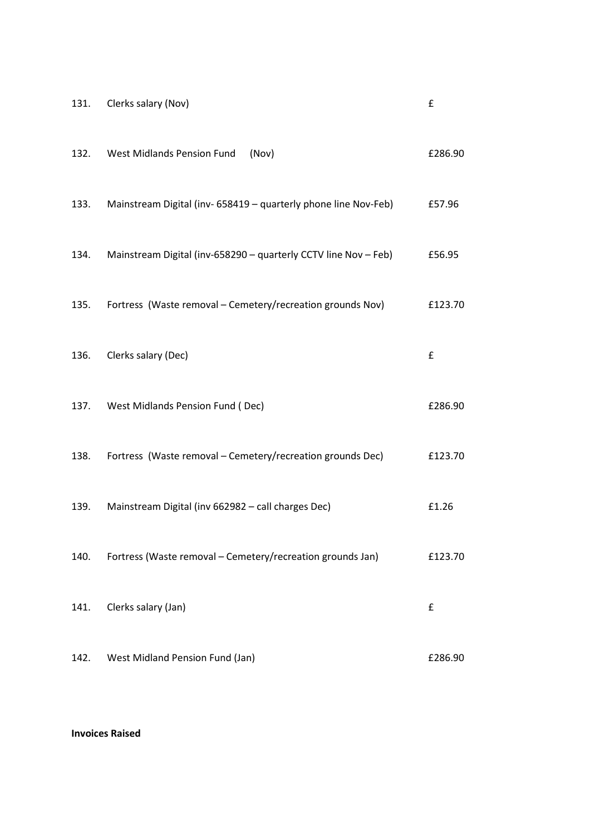| 131. | Clerks salary (Nov)                                             | £       |
|------|-----------------------------------------------------------------|---------|
| 132. | West Midlands Pension Fund<br>(Nov)                             | £286.90 |
| 133. | Mainstream Digital (inv- 658419 - quarterly phone line Nov-Feb) | £57.96  |
| 134. | Mainstream Digital (inv-658290 - quarterly CCTV line Nov - Feb) | £56.95  |
| 135. | Fortress (Waste removal - Cemetery/recreation grounds Nov)      | £123.70 |
| 136. | Clerks salary (Dec)                                             | £       |
| 137. | West Midlands Pension Fund (Dec)                                | £286.90 |
| 138. | Fortress (Waste removal - Cemetery/recreation grounds Dec)      | £123.70 |
| 139. | Mainstream Digital (inv 662982 - call charges Dec)              | £1.26   |
| 140. | Fortress (Waste removal - Cemetery/recreation grounds Jan)      | £123.70 |
| 141. | Clerks salary (Jan)                                             | £       |
| 142. | West Midland Pension Fund (Jan)                                 | £286.90 |

### Invoices Raised